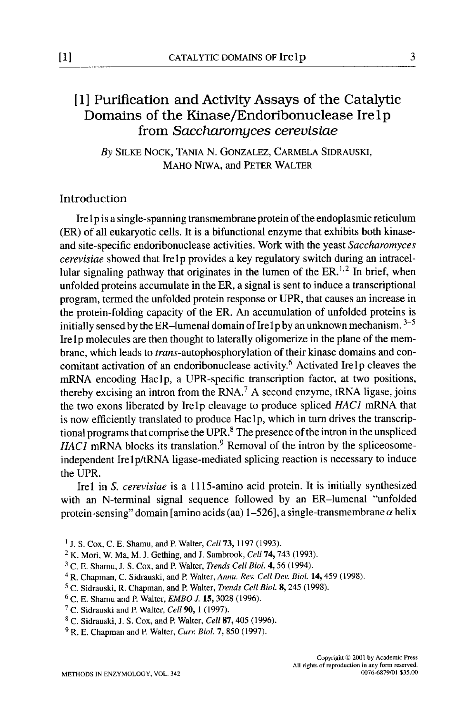# [I] Purification and Activity Assays of the Catalytic Domains of the Kinase/Endoribonuclease Irelp from *Saccharomyces cerevisiae*

*By* SILKE NOCK, TANIA N. GONZALEZ, CARMELA SIDRAUSKI, MAHO NIWA, and PETER WALTER

# Introduction

Ire lp is a single-spanning transmembrane protein of the endoplasmic reticulum (ER) of all eukaryotic cells. It is a bifunctional enzyme that exhibits both kinaseand site-specific endoribonuclease activities. Work with the yeast *Saccharomyces cerevisiae* showed that Irelp provides a key regulatory switch during an intracellular signaling pathway that originates in the lumen of the  $ER<sup>1,2</sup>$  In brief, when unfolded proteins accumulate in the ER, a signal is sent to induce a transcriptional program, termed the unfolded protein response or UPR, that causes an increase in the protein-folding capacity of the ER. An accumulation of unfolded proteins is initially sensed by the ER-lumenal domain of Ire 1 p by an unknown mechanism.  $3-5$ Ire 1 p molecules are then thought to laterally oligomerize in the plane of the membrane, which leads to *trans-autophosphorylation* of their kinase domains and concomitant activation of an endoribonuclease activity.<sup>6</sup> Activated Irelp cleaves the mRNA encoding Haclp, a UPR-specific transcription factor, at two positions, thereby excising an intron from the RNA.<sup>7</sup> A second enzyme, tRNA ligase, joins the two exons liberated by Irelp cleavage to produce spliced *HAC1* mRNA that is now efficiently translated to produce Haclp, which in turn drives the transcriptional programs that comprise the UPR.<sup>8</sup> The presence of the intron in the unspliced *HAC1* mRNA blocks its translation.<sup>9</sup> Removal of the intron by the spliceosomeindependent Irel p/tRNA ligase-mediated splicing reaction is necessary to induce the UPR.

Irel in *S. cerevisiae* is a 1115-amino acid protein. It is initially synthesized with an N-terminal signal sequence followed by an ER-lumenal "unfolded protein-sensing" domain [amino acids (aa)  $1-526$ ], a single-transmembrane  $\alpha$  helix

- I j. S. Cox, C. E. Shamu, and E Walter, *Cell* 73, 1197 (1993).
- 2 K. Mori, W. Ma, M. J. Gething, and J. Sambrook, *Cell* 74, 743 (1993).
- 3 C. E. Shamu, J. S. Cox, and E Walter, *Trends CellBiol.* 4, 56 (1994).
- <sup>4</sup> R. Chapman, C. Sidrauski, and P. Walter, *Annu. Rev. Cell Dev. Biol.* 14, 459 (1998).
- 5 C. Sidrauski, R. Chapman, and E Walter, *Trends Cell Biol.* 8, 245 (1998).
- <sup>6</sup> C. E. Shamu and P. Walter, *EMBO J.* **15,** 3028 (1996).
- 7 C. Sidrauski and E Walter, *Cell* 90, 1 (1997).
- <sup>8</sup> C. Sidrauski, J. S. Cox, and P. Walter, *Cell* 87, 405 (1996).
- 9 R. E. Chapman and E Walter, *Curr. Biol.* 7, 850 (1997).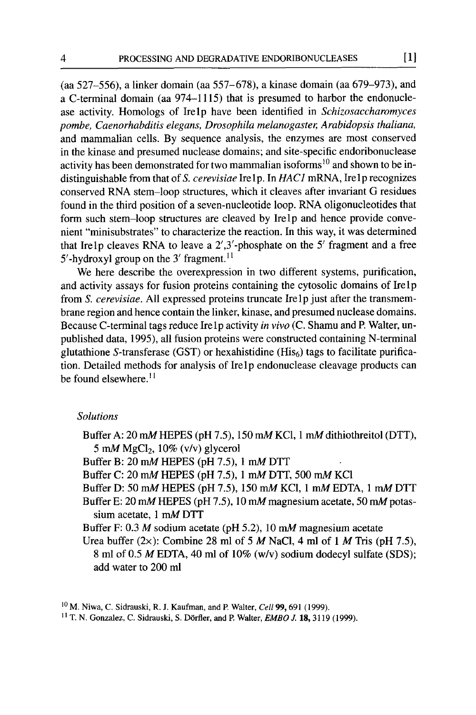(aa 527-556), a linker domain (aa 557-678), a kinase domain (aa 679-973), and a C-terminal domain (aa 974-1115) that is presumed to harbor the endonuclease activity. Homologs of Irelp have been identified in *Schizosaccharomyces pombe, Caenorhabditis elegans, Drosophila melanogaster, Arabidopsis thaliana,*  and mammalian cells. By sequence analysis, the enzymes are most conserved in the kinase and presumed nuclease domains; and site-specific endoribonuclease activity has been demonstrated for two mammalian isoforms<sup>10</sup> and shown to be indistinguishable from that of S. cerevisiae Irelp. In *HAC1* mRNA, Irelp recognizes conserved RNA stem-loop structures, which it cleaves after invariant G residues found in the third position of a seven-nucleotide loop. RNA oligonucleotides that form such stem-loop structures are cleaved by Irelp and hence provide convenient "minisubstrates" to characterize the reaction. In this way, it was determined that Irelp cleaves RNA to leave a 2',3'-phosphate on the 5' fragment and a free 5'-hydroxyl group on the 3' fragment.<sup>11</sup>

We here describe the overexpression in two different systems, purification, and activity assays for fusion proteins containing the cytosolic domains of Ire1p from *S. cerevisiae.* All expressed proteins truncate Irelp just after the transmembrane region and hence contain the linker, kinase, and presumed nuclease domains. Because C-terminal tags reduce Ire lp activity *in vivo* (C. Shamu and P. Walter, unpublished data, 1995), all fusion proteins were constructed containing N-terminal glutathione S-transferase (GST) or hexahistidine (His $_6$ ) tags to facilitate purification. Detailed methods for analysis of Irelp endonuclease cleavage products can be found elsewhere.<sup>11</sup>

## *Solutions*

- Buffer A: 20 mM HEPES (pH 7.5), 150 mM KC1, 1 mM dithiothreitol (DTT), 5 mM MgCl<sub>2</sub>,  $10\%$  (v/v) glycerol
- Buffer B: 20 mM HEPES (pH 7.5), 1 mM DTT
- Buffer C: 20 mM HEPES (pH 7.5), 1 mM DTT, 500 mM KC1
- Buffer D: 50 mM HEPES (pH 7.5), 150 mM KCl, 1 mM EDTA, 1 mM DTT
- Buffer E: 20 mM HEPES (pH 7.5), 10 mM magnesium acetate, 50 mM potassium acetate, 1 mM DTT
- Buffer F: 0.3 M sodium acetate (pH 5.2), 10 mM magnesium acetate
- Urea buffer  $(2x)$ : Combine 28 ml of 5 M NaCl, 4 ml of 1 M Tris (pH 7.5), 8 ml of 0.5 M EDTA, 40 ml of 10% (w/v) sodium dodecyl sulfate (SDS); add water to 200 ml

<sup>&</sup>lt;sup>10</sup> M. Niwa, C. Sidrauski, R. J. Kaufman, and P. Walter, *Cell* **99**, 691 (1999).

IIT. N. Gonzalez, C. Sidrauski, S. D6rfler, and E Walter, *EMBOJ.* 18, 3119 (1999).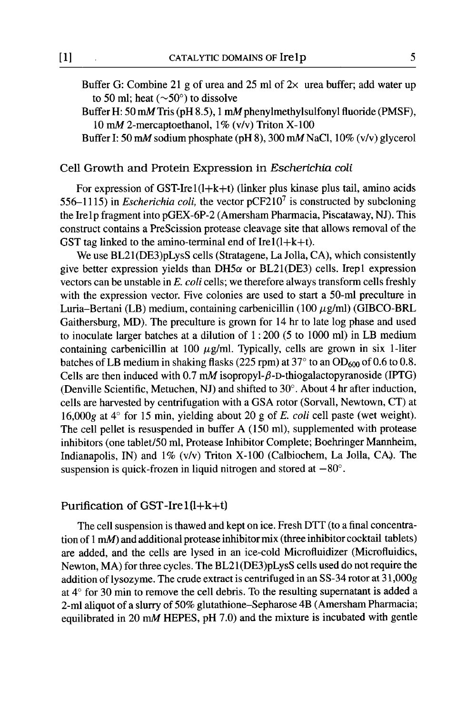Buffer G: Combine 21 g of urea and 25 ml of  $2\times$  urea buffer; add water up to 50 ml; heat ( $\sim$ 50 $^{\circ}$ ) to dissolve

Buffer H: 50 mM Tris (pH 8.5), 1 mM phenylmethylsulfonyl fluoride (PMSF), 10 mM 2-mercaptoethanol, 1% (v/v) Triton X-100

Buffer I: 50 mM sodium phosphate (pH 8), 300 mM NaC1, 10% (v/v) glycerol

## Cell Growth and Protein Expression in *Escherichia coli*

For expression of GST-Ire $1(l+k+t)$  (linker plus kinase plus tail, amino acids *556-1115)* in *Escherichia coli,* the vector pCF2107 is constructed by subcloning the Ire1p fragment into pGEX-6P-2 (Amersham Pharmacia, Piscataway, NJ). This construct contains a PreScission protease cleavage site that allows removal of the GST tag linked to the amino-terminal end of Ire $1(l+k+t)$ .

We use BL21(DE3)pLysS cells (Stratagene, La Jolla, CA), which consistently give better expression yields than  $DH5\alpha$  or  $BL21(DE3)$  cells. Irep1 expression vectors can be unstable in *E. coli* ceils; we therefore always transform cells freshly with the expression vector. Five colonies are used to start a 50-ml preculture in Luria-Bertani (LB) medium, containing carbenicillin (100  $\mu$ g/ml) (GIBCO-BRL Gaithersburg, MD). The preculture is grown for 14 hr to late log phase and used to inoculate larger batches at a dilution of 1 : 200 (5 to 1000 ml) in LB medium containing carbenicillin at 100  $\mu$ g/ml. Typically, cells are grown in six 1-liter batches of LB medium in shaking flasks (225 rpm) at  $37^{\circ}$  to an OD<sub>600</sub> of 0.6 to 0.8. Cells are then induced with 0.7 mM isopropyl- $\beta$ -D-thiogalactopyranoside (IPTG) (Denville Scientific, Metuchen, NJ) and shifted to  $30^{\circ}$ . About 4 hr after induction, cells are harvested by centrifugation with a GSA rotor (Sorvall, Newtown, CT) at 16,000g at  $4^{\circ}$  for 15 min, yielding about 20 g of E. *coli* cell paste (wet weight). The cell pellet is resuspended in buffer A (150 ml), supplemented with protease inhibitors (one tablet/50 ml, Protease Inhibitor Complete; Boehringer Mannheim, Indianapolis, IN) and  $1\%$  (v/v) Triton X-100 (Calbiochem, La Jolla, CA). The suspension is quick-frozen in liquid nitrogen and stored at  $-80^\circ$ .

# Purification of GST-Ire $1(l+k+t)$

The cell suspension is thawed and kept on ice. Fresh DTT (to a final concentration of 1 mM) and additional protease inhibitor mix (three inhibitor cocktail tablets) are added, and the ceils are lysed in an ice-cold Microfluidizer (Microfluidics, Newton, MA) for three cycles. The BL21 (DE3)pLysS cells used do not require the addition of lysozyme. The crude extract is centrifuged in an SS-34 rotor at 31,000g at  $4^{\circ}$  for 30 min to remove the cell debris. To the resulting supernatant is added a 2-ml aliquot of a slurry of 50% glutathione-Sepharose 4B (Amersham Pharmacia; equilibrated in 20 mM HEPES, pH 7.0) and the mixture is incubated with gentle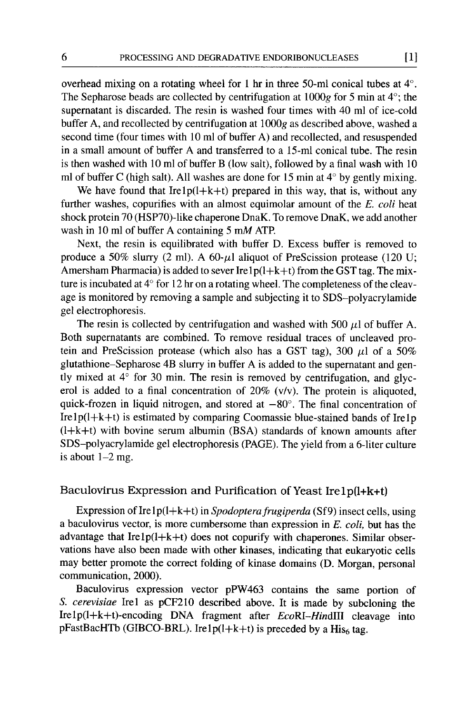overhead mixing on a rotating wheel for 1 hr in three 50-ml conical tubes at  $4^\circ$ . The Sepharose beads are collected by centrifugation at  $1000g$  for 5 min at  $4^\circ$ ; the supernatant is discarded. The resin is washed four times with 40 ml of ice-cold buffer A, and recollected by centrifugation at 1000g as described above, washed a second time (four times with 10 ml of buffer A) and recollected, and resuspended in a small amount of buffer A and transferred to a 15-ml conical tube. The resin is then washed with 10 ml of buffer B (low salt), followed by a final wash with 10 ml of buffer C (high salt). All washes are done for 15 min at  $4^{\circ}$  by gently mixing.

We have found that Irelp( $l+k+t$ ) prepared in this way, that is, without any further washes, copurifies with an almost equimolar amount of the *E. coli* heat shock protein 70 (HSP70)-like chaperone DnaK. To remove DnaK, we add another wash in 10 ml of buffer A containing 5 mM ATP.

Next, the resin is equilibrated with buffer D. Excess buffer is removed to produce a 50% slurry (2 ml). A 60- $\mu$ l aliquot of PreScission protease (120 U; Amersham Pharmacia) is added to sever Irelp( $l+k+t$ ) from the GST tag. The mixture is incubated at  $4^{\circ}$  for 12 hr on a rotating wheel. The completeness of the cleavage is monitored by removing a sample and subjecting it to SDS-polyacrylamide gel electrophoresis.

The resin is collected by centrifugation and washed with 500  $\mu$ l of buffer A. Both supernatants are combined. To remove residual traces of uncleaved protein and PreScission protease (which also has a GST tag), 300  $\mu$ l of a 50% glutathione-Sepharose 4B slurry in buffer A is added to the supernatant and gently mixed at  $4^{\circ}$  for 30 min. The resin is removed by centrifugation, and glycerol is added to a final concentration of 20% (v/v). The protein is aliquoted, quick-frozen in liquid nitrogen, and stored at  $-80^\circ$ . The final concentration of Ire  $1p(l+k+t)$  is estimated by comparing Coomassie blue-stained bands of Ire 1 p  $(l+k+t)$  with bovine serum albumin (BSA) standards of known amounts after SDS-polyacrylamide gel electrophoresis (PAGE). The yield from a 6-liter culture is about  $1-2$  mg.

# Baculovirus Expression and Purification of Yeast Ire lp(l+k+t)

Expression of Ire lp(l+k+t) in *Spodopterafrugiperda* (Sf9) insect cells, using a baculovirus vector, is more cumbersome than expression in E. *coli,* but has the advantage that Irelp(l+k+t) does not copurify with chaperones. Similar observations have also been made with other kinases, indicating that eukaryotic ceils may better promote the correct folding of kinase domains (D. Morgan, personal communication, 2000).

Baculovirus expression vector pPW463 contains the same portion of *S. cerevisiae* Irel as pCF210 described above. It is made by subcloning the Irelp(l+k+t)-encoding DNA fragment after *EcoRI-HindlII* cleavage into pFastBacHTb (GIBCO-BRL). Ire1p( $l+k+t$ ) is preceded by a His $_6$  tag.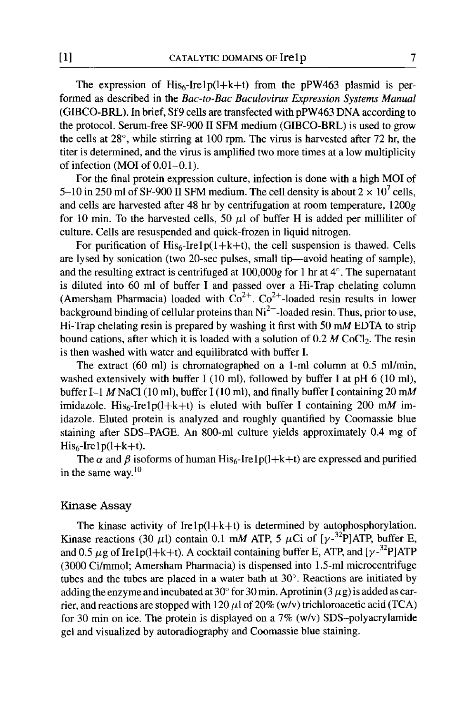The expression of  $His_{6}$ -Irelp(l+k+t) from the pPW463 plasmid is performed as described in the *Bac-to-Bac Baculovirus Expression Systems Manual*  (GIBCO-BRL). In brief, Sf9 cells are transfected with pPW463 DNA according to the protocol. Serum-free SF-900 II SFM medium (GIBCO-BRL) is used to grow the cells at  $28^{\circ}$ , while stirring at 100 rpm. The virus is harvested after 72 hr, the titer is determined, and the virus is amplified two more times at a low multiplicity of infection (MOI of 0.01-0.1).

For the final protein expression culture, infection is done with a high MOI of 5-10 in 250 ml of SF-900 II SFM medium. The cell density is about  $2 \times 10^7$  cells, and cells are harvested after 48 hr by centrifugation at room temperature, 1200g for 10 min. To the harvested cells, 50  $\mu$ l of buffer H is added per milliliter of culture. Cells are resuspended and quick-frozen in liquid nitrogen.

For purification of  $His<sub>6</sub>-Irelp(1+k+t)$ , the cell suspension is thawed. Cells are lysed by sonication (two 20-sec pulses, small tip--avoid heating of sample), and the resulting extract is centrifuged at  $100,000g$  for 1 hr at  $4^\circ$ . The supernatant is diluted into 60 ml of buffer I and passed over a Hi-Trap chelating column (Amersham Pharmacia) loaded with  $Co^{2+}$ .  $Co^{2+}$ -loaded resin results in lower background binding of cellular proteins than  $Ni<sup>2+</sup>$ -loaded resin. Thus, prior to use, Hi-Trap chelating resin is prepared by washing it first with 50 mM EDTA to strip bound cations, after which it is loaded with a solution of  $0.2 M$  CoCl<sub>2</sub>. The resin is then washed with water and equilibrated with buffer I.

The extract (60 ml) is chromatographed on a 1-ml column at 0.5 ml/min, washed extensively with buffer I (10 ml), followed by buffer I at pH 6 (10 ml), buffer I-1 M NaCl (10 ml), buffer I (10 ml), and finally buffer I containing 20 mM imidazole. His<sub>6</sub>-Ire1p(l+k+t) is eluted with buffer I containing 200 mM imidazole. Eluted protein is analyzed and roughly quantified by Coomassie blue staining after SDS-PAGE. An 800-ml culture yields approximately 0.4 mg of  $His<sub>6</sub>-Irelp(l+k+t).$ 

The  $\alpha$  and  $\beta$  isoforms of human His<sub>6</sub>-Ire lp(l+k+t) are expressed and purified in the same way. $10$ 

### Kinase Assay

The kinase activity of Irel $p(l+k+t)$  is determined by autophosphorylation. Kinase reactions (30  $\mu$ l) contain 0.1 mM ATP, 5  $\mu$ Ci of [ $\gamma$ -<sup>32</sup>P]ATP, buffer E, and 0.5  $\mu$ g of Irelp(l+k+t). A cocktail containing buffer E, ATP, and [ $v^{-32}$ P]ATP (3000 Ci/mmol; Amersham Pharmacia) is dispensed into 1.5-ml microcentrifuge tubes and the tubes are placed in a water bath at  $30^\circ$ . Reactions are initiated by adding the enzyme and incubated at 30 $^{\circ}$  for 30 min. Aprotinin (3  $\mu$ g) is added as carrier, and reactions are stopped with 120  $\mu$ l of 20% (w/v) trichloroacetic acid (TCA) for 30 min on ice. The protein is displayed on a  $7\%$  (w/v) SDS-polyacrylamide gel and visualized by autoradiography and Coomassie blue staining.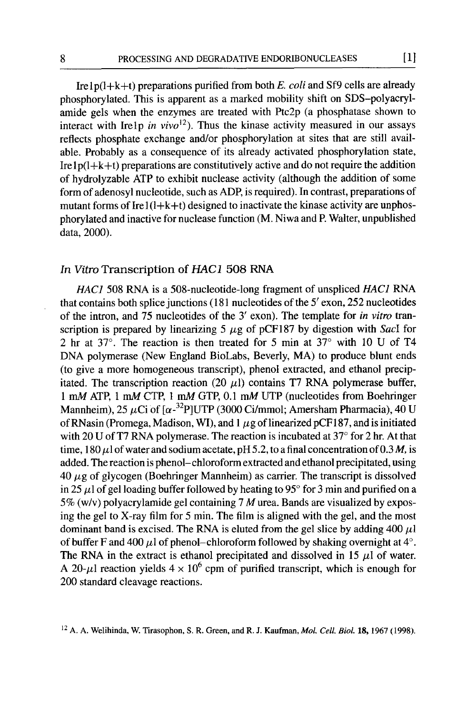Irelp(l+k+t) preparations purified from both *E. coli* and Sf9 cells are already phosphorylated. This is apparent as a marked mobility shift on SDS-polyacrylamide gels when the enzymes are treated with Ptc2p (a phosphatase shown to interact with Irelp *in vivo*<sup>12</sup>). Thus the kinase activity measured in our assays reflects phosphate exchange and/or phosphorylation at sites that are still available. Probably as a consequence of its already activated phosphorylation state, Ire  $1p(l+k+t)$  preparations are constitutively active and do not require the addition of hydrolyzable ATP to exhibit nuclease activity (although the addition of some form of adenosyl nucleotide, such as ADP, is required). In contrast, preparations of mutant forms of Ire  $1(l+k+t)$  designed to inactivate the kinase activity are unphosphorylated and inactive for nuclease function (M. Niwa and P. Walter, unpublished data, 2000).

#### *In Vitro* Transcription of *HAC1* 508 RNA

*HAC]* 508 RNA is a 508-nucleotide-long fragment of unspliced *HAC]* RNA that contains both splice junctions (181 nucleotides of the  $5'$  exon, 252 nucleotides of the intron, and 75 nucleotides of the 3' exon). The template for *in vitro tran*scription is prepared by linearizing 5  $\mu$ g of pCF187 by digestion with *Sacl* for 2 hr at  $37^{\circ}$ . The reaction is then treated for 5 min at  $37^{\circ}$  with 10 U of T4 DNA polymerase (New England BioLabs, Beverly, MA) to produce blunt ends (to give a more homogeneous transcript), phenol extracted, and ethanol precipitated. The transcription reaction (20  $\mu$ l) contains T7 RNA polymerase buffer, l mM ATP, l mM CTP, l mM GTP, 0.1 mM UTP (nucleotides from Boehringer Mannheim), 25  $\mu$ Ci of [ $\alpha$ -<sup>32</sup>P]UTP (3000 Ci/mmol; Amersham Pharmacia), 40 U of RNasin (Promega, Madison, WI), and 1  $\mu$ g of linearized pCF187, and is initiated with 20 U of T7 RNA polymerase. The reaction is incubated at  $37^{\circ}$  for 2 hr. At that time,  $180 \mu$  of water and sodium acetate, pH 5.2, to a final concentration of 0.3 M, is added. The reaction is phenol-chloroform extracted and ethanol precipitated, using  $40 \mu$ g of glycogen (Boehringer Mannheim) as carrier. The transcript is dissolved in 25  $\mu$ l of gel loading buffer followed by heating to 95 $^{\circ}$  for 3 min and purified on a *5%* (w/v) polyacrylamide gel containing 7 M urea. Bands are visualized by exposing the gel to X-ray film for 5 min. The film is aligned with the gel, and the most dominant band is excised. The RNA is eluted from the gel slice by adding 400  $\mu$ l of buffer F and 400  $\mu$ l of phenol-chloroform followed by shaking overnight at 4°. The RNA in the extract is ethanol precipitated and dissolved in 15  $\mu$ l of water. A 20- $\mu$ l reaction yields  $4 \times 10^6$  cpm of purified transcript, which is enough for 200 standard cleavage reactions.

<sup>12</sup> A. A. Welihinda, W. Tirasophon, S. R. Green, and R. J. Kaufman, *Mol. Cell Biol.* 18, 1967 (1998).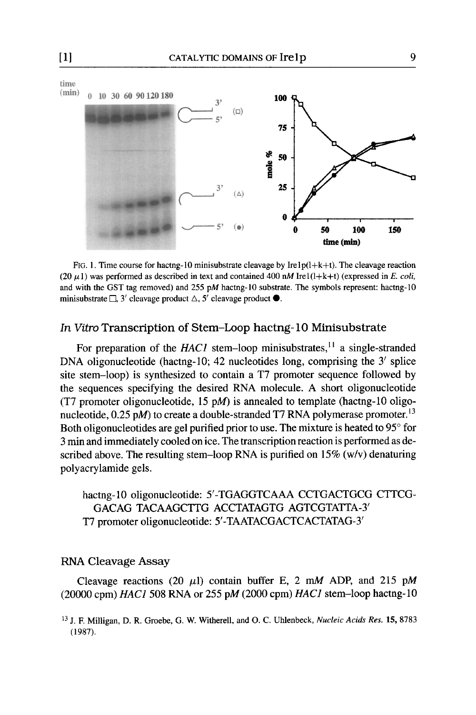

FIG. 1. Time course for hactng-10 minisubstrate cleavage by Irelp $(l+k+t)$ . The cleavage reaction (20  $\mu$ 1) was performed as described in text and contained 400 nM Ire1 $(l+k+t)$  (expressed in *E. coli,* and with the GST tag removed) and  $255$  pM hactng-10 substrate. The symbols represent: hactng-10 minisubstrate  $\Box$ , 3' cleavage product  $\triangle$ , 5' cleavage product  $\bullet$ .

## *In Vitro* Transcription of Stem-Loop hactng- 10 Minisubstrate

For preparation of the *HAC1* stem-loop minisubstrates,<sup>11</sup> a single-stranded DNA oligonucleotide (hactng-10; 42 nucleotides long, comprising the  $3'$  splice site stem-loop) is synthesized to contain a T7 promoter sequence followed by the sequences specifying the desired RNA molecule. A short oligonucleotide (T7 promoter oligonucleotide, 15 pM) is annealed to template (hactng-10 oligonucleotide,  $0.25$  pM) to create a double-stranded T7 RNA polymerase promoter.<sup>13</sup> Both oligonucleotides are gel purified prior to use. The mixture is heated to  $95^{\circ}$  for 3 min and immediately cooled on ice. The transcription reaction is performed as described above. The resulting stem-loop RNA is purified on  $15\%$  (w/v) denaturing polyacrylamide gels.

hactng-10 oligonucleotide: 5'-TGAGGTCAAA CCTGACTGCG CTTCG-GACAG TACAAGCTTG ACCTATAGTG AGTCGTATTA-3' T7 promoter oligonucleotide: 5'-TAATACGACTCACTATAG-31

## RNA Cleavage Assay

Cleavage reactions (20  $\mu$ 1) contain buffer E, 2 mM ADP, and 215 pM (20000 cpm) *HAC1* 508 RNA or 255 pM (2000 cpm) *HAC1* stem-loop hactng-10

<sup>13</sup> j. F. Milligan, D. R. Groebe, G. W. Witherell, and O. C. Uhlenbeck, *Nucleic Acids Res.* 15, 8783 (1987).